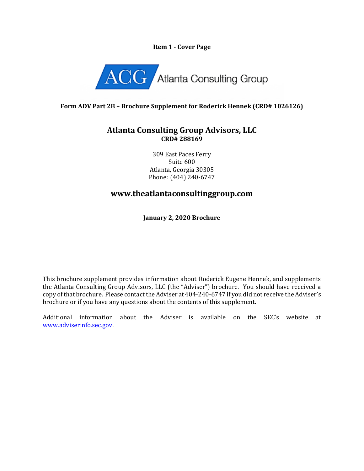#### **Item 1 - Cover Page**



### **Form ADV Part 2B – Brochure Supplement for Roderick Hennek (CRD# 1026126)**

## **Atlanta Consulting Group Advisors, LLC CRD# 288169**

309 East Paces Ferry Suite 600 Atlanta, Georgia 30305 Phone: (404) 240-6747

# **www.theatlantaconsultinggroup.com**

**January 2, 2020 Brochure**

This brochure supplement provides information about Roderick Eugene Hennek, and supplements the Atlanta Consulting Group Advisors, LLC (the "Adviser") brochure. You should have received a copy of that brochure. Please contact the Adviser at 404-240-6747 if you did not receive the Adviser's brochure or if you have any questions about the contents of this supplement.

Additional information about the Adviser is available on the SEC's website at [www.adviserinfo.sec.gov.](http://www.adviserinfo.sec.gov/)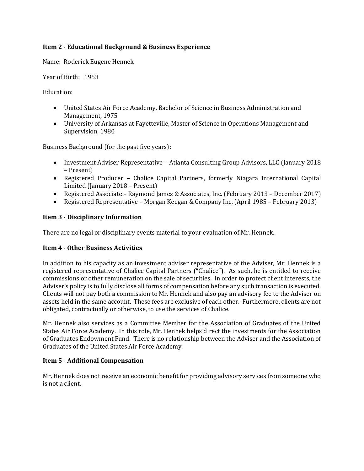#### **Item 2** - **Educational Background & Business Experience**

Name: Roderick Eugene Hennek

Year of Birth: 1953

Education:

- United States Air Force Academy, Bachelor of Science in Business Administration and Management, 1975
- University of Arkansas at Fayetteville, Master of Science in Operations Management and Supervision, 1980

Business Background (for the past five years):

- Investment Adviser Representative Atlanta Consulting Group Advisors, LLC (January 2018 – Present)
- Registered Producer Chalice Capital Partners, formerly Niagara International Capital Limited (January 2018 – Present)
- Registered Associate Raymond James & Associates, Inc. (February 2013 December 2017)
- Registered Representative Morgan Keegan & Company Inc. (April 1985 February 2013)

### **Item 3** - **Disciplinary Information**

There are no legal or disciplinary events material to your evaluation of Mr. Hennek.

#### **Item 4** - **Other Business Activities**

In addition to his capacity as an investment adviser representative of the Adviser, Mr. Hennek is a registered representative of Chalice Capital Partners ("Chalice"). As such, he is entitled to receive commissions or other remuneration on the sale of securities. In order to protect client interests, the Adviser's policy is to fully disclose all forms of compensation before any such transaction is executed. Clients will not pay both a commission to Mr. Hennek and also pay an advisory fee to the Adviser on assets held in the same account. These fees are exclusive of each other. Furthermore, clients are not obligated, contractually or otherwise, to use the services of Chalice.

Mr. Hennek also services as a Committee Member for the Association of Graduates of the United States Air Force Academy. In this role, Mr. Hennek helps direct the investments for the Association of Graduates Endowment Fund. There is no relationship between the Adviser and the Association of Graduates of the United States Air Force Academy.

#### **Item 5** - **Additional Compensation**

Mr. Hennek does not receive an economic benefit for providing advisory services from someone who is not a client.